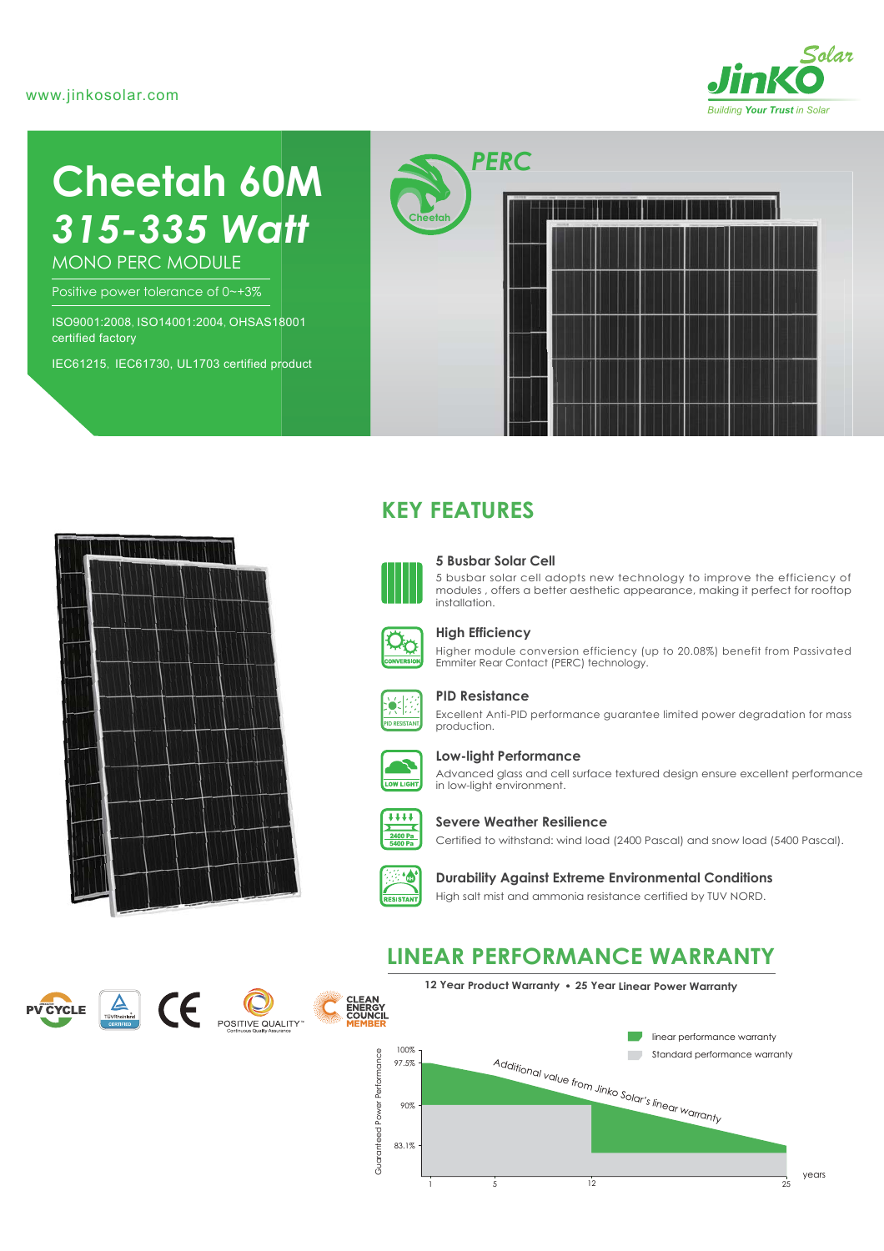#### www.jinkosolar.com



# **Cheetah 60M** *315-335 Watt*

MONO PERC MODULE

Positive power tolerance of 0~+3%

ISO9001:2008, ISO14001:2004, OHSAS18001 certified factory

IEC61215, IEC61730, UL1703 certified product





## **KEY FEATURES**



#### **5 Busbar Solar Cell**

5 busbar solar cell adopts new technology to improve the efficiency of modules , offers a better aesthetic appearance, making it perfect for rooftop installation.



#### **High Efficiency**

Higher module conversion efficiency (up to 20.08%) benefit from Passivated Emmiter Rear Contact (PERC) technology.



#### **PID Resistance**

Excellent Anti-PID performance guarantee limited power degradation for mass production.



#### **Low-light Performance**

Advanced glass and cell surface textured design ensure excellent performance in low-light environment.



#### **Severe Weather Resilience**

Certified to withstand: wind load (2400 Pascal) and snow load (5400 Pascal).



#### **Durability Against Extreme Environmental Conditions**

High salt mist and ammonia resistance certified by TUV NORD.

## **LINEAR PERFORMANCE WARRANTY**







#### **12 Year Product Warranty 25 Year Linear Power Warranty**